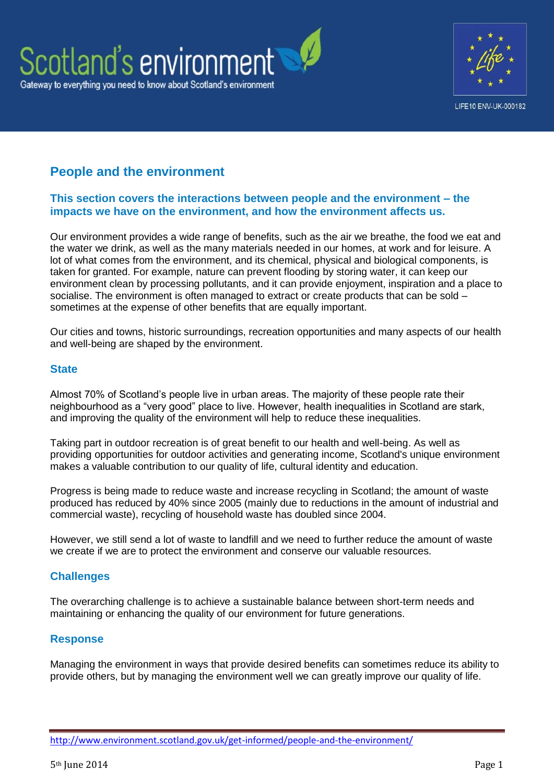



## **People and the environment**

## **This section covers the interactions between people and the environment – the impacts we have on the environment, and how the environment affects us.**

Our environment provides a wide range of benefits, such as the air we breathe, the food we eat and the water we drink, as well as the many materials needed in our homes, at work and for leisure. A lot of what comes from the environment, and its chemical, physical and biological components, is taken for granted. For example, nature can prevent flooding by storing water, it can keep our environment clean by processing pollutants, and it can provide enjoyment, inspiration and a place to socialise. The environment is often managed to extract or create products that can be sold – sometimes at the expense of other benefits that are equally important.

Our cities and towns, historic surroundings, recreation opportunities and many aspects of our health and well-being are shaped by the environment.

#### **State**

Almost 70% of Scotland's people live in urban areas. The majority of these people rate their neighbourhood as a "very good" place to live. However, health inequalities in Scotland are stark, and improving the quality of the environment will help to reduce these inequalities.

Taking part in outdoor recreation is of great benefit to our health and well-being. As well as providing opportunities for outdoor activities and generating income, Scotland's unique environment makes a valuable contribution to our quality of life, cultural identity and education.

Progress is being made to reduce waste and increase recycling in Scotland; the amount of waste produced has reduced by 40% since 2005 (mainly due to reductions in the amount of industrial and commercial waste), recycling of household waste has doubled since 2004.

However, we still send a lot of waste to landfill and we need to further reduce the amount of waste we create if we are to protect the environment and conserve our valuable resources.

## **Challenges**

The overarching challenge is to achieve a sustainable balance between short-term needs and maintaining or enhancing the quality of our environment for future generations.

## **Response**

Managing the environment in ways that provide desired benefits can sometimes reduce its ability to provide others, but by managing the environment well we can greatly improve our quality of life.

<http://www.environment.scotland.gov.uk/get-informed/people-and-the-environment/>